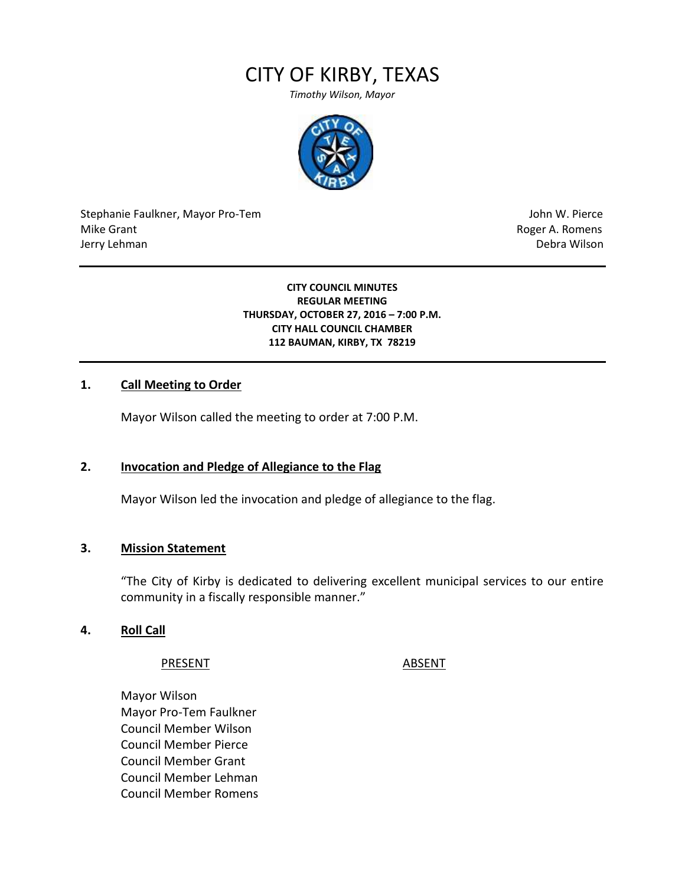# CITY OF KIRBY, TEXAS

*Timothy Wilson, Mayor*



Stephanie Faulkner, Mayor Pro-Tem John W. Pierce Mike Grant **Mike Grant** Roger A. Romens **Contract A. Romens Contract A. Romens Contract A. Romens** Jerry Lehman Debra Wilson (2008) and the state of the state of the state of the state of the state of the state of the state of the state of the state of the state of the state of the state of the state of the state of the

**CITY COUNCIL MINUTES REGULAR MEETING THURSDAY, OCTOBER 27, 2016 – 7:00 P.M. CITY HALL COUNCIL CHAMBER 112 BAUMAN, KIRBY, TX 78219**

#### **1. Call Meeting to Order**

Mayor Wilson called the meeting to order at 7:00 P.M.

#### **2. Invocation and Pledge of Allegiance to the Flag**

Mayor Wilson led the invocation and pledge of allegiance to the flag.

#### **3. Mission Statement**

"The City of Kirby is dedicated to delivering excellent municipal services to our entire community in a fiscally responsible manner."

#### **4. Roll Call**

PRESENT ABSENT

Mayor Wilson Mayor Pro-Tem Faulkner Council Member Wilson Council Member Pierce Council Member Grant Council Member Lehman Council Member Romens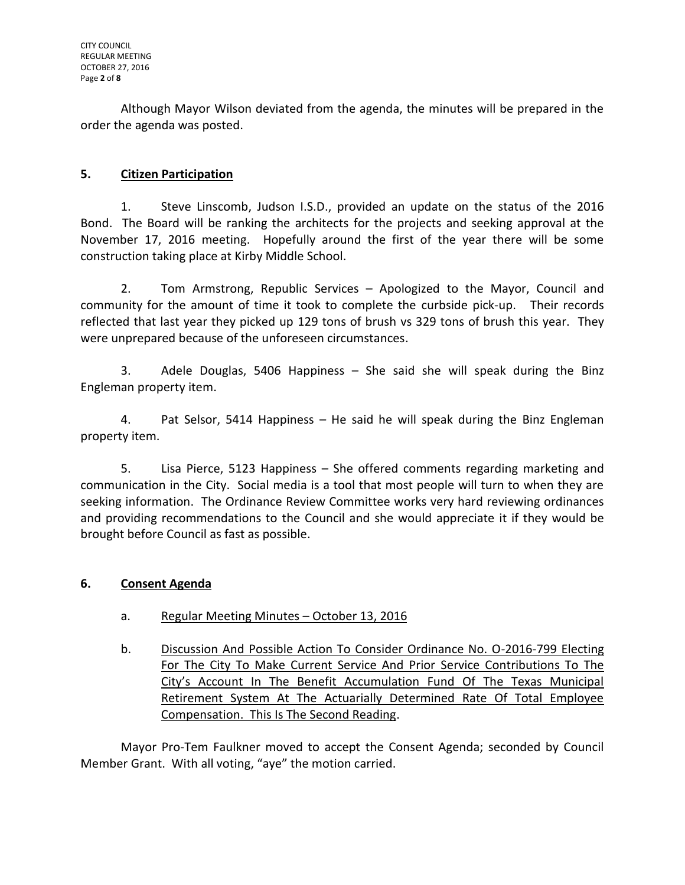Although Mayor Wilson deviated from the agenda, the minutes will be prepared in the order the agenda was posted.

# **5. Citizen Participation**

1. Steve Linscomb, Judson I.S.D., provided an update on the status of the 2016 Bond. The Board will be ranking the architects for the projects and seeking approval at the November 17, 2016 meeting. Hopefully around the first of the year there will be some construction taking place at Kirby Middle School.

2. Tom Armstrong, Republic Services – Apologized to the Mayor, Council and community for the amount of time it took to complete the curbside pick-up. Their records reflected that last year they picked up 129 tons of brush vs 329 tons of brush this year. They were unprepared because of the unforeseen circumstances.

3. Adele Douglas, 5406 Happiness – She said she will speak during the Binz Engleman property item.

4. Pat Selsor, 5414 Happiness – He said he will speak during the Binz Engleman property item.

5. Lisa Pierce, 5123 Happiness – She offered comments regarding marketing and communication in the City. Social media is a tool that most people will turn to when they are seeking information. The Ordinance Review Committee works very hard reviewing ordinances and providing recommendations to the Council and she would appreciate it if they would be brought before Council as fast as possible.

## **6. Consent Agenda**

- a. Regular Meeting Minutes October 13, 2016
- b. Discussion And Possible Action To Consider Ordinance No. O-2016-799 Electing For The City To Make Current Service And Prior Service Contributions To The City's Account In The Benefit Accumulation Fund Of The Texas Municipal Retirement System At The Actuarially Determined Rate Of Total Employee Compensation. This Is The Second Reading.

Mayor Pro-Tem Faulkner moved to accept the Consent Agenda; seconded by Council Member Grant. With all voting, "aye" the motion carried.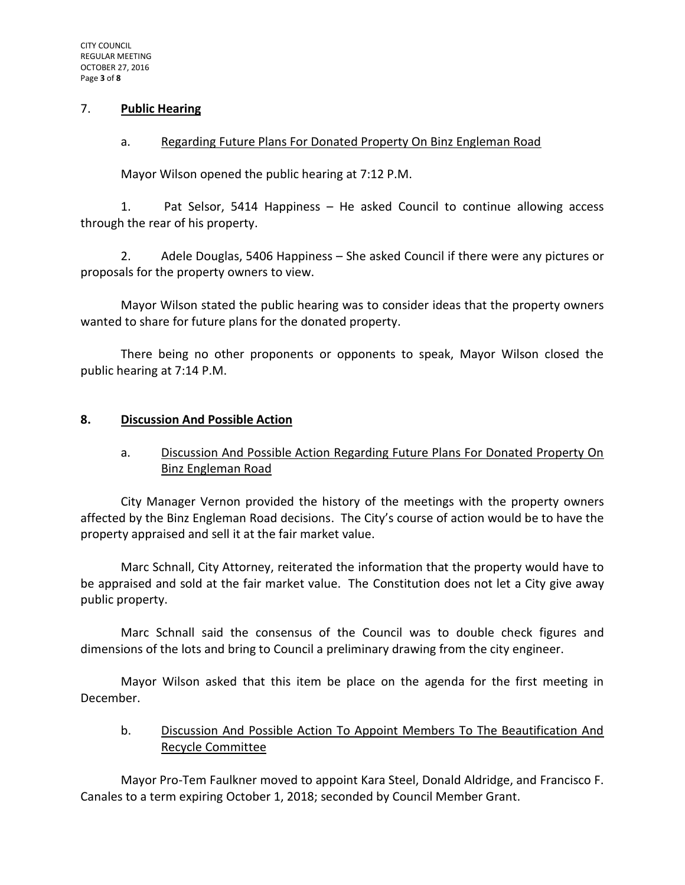#### 7. **Public Hearing**

#### a. Regarding Future Plans For Donated Property On Binz Engleman Road

Mayor Wilson opened the public hearing at 7:12 P.M.

1. Pat Selsor, 5414 Happiness – He asked Council to continue allowing access through the rear of his property.

2. Adele Douglas, 5406 Happiness – She asked Council if there were any pictures or proposals for the property owners to view.

Mayor Wilson stated the public hearing was to consider ideas that the property owners wanted to share for future plans for the donated property.

There being no other proponents or opponents to speak, Mayor Wilson closed the public hearing at 7:14 P.M.

#### **8. Discussion And Possible Action**

## a. Discussion And Possible Action Regarding Future Plans For Donated Property On Binz Engleman Road

City Manager Vernon provided the history of the meetings with the property owners affected by the Binz Engleman Road decisions. The City's course of action would be to have the property appraised and sell it at the fair market value.

Marc Schnall, City Attorney, reiterated the information that the property would have to be appraised and sold at the fair market value. The Constitution does not let a City give away public property.

Marc Schnall said the consensus of the Council was to double check figures and dimensions of the lots and bring to Council a preliminary drawing from the city engineer.

Mayor Wilson asked that this item be place on the agenda for the first meeting in December.

### b. Discussion And Possible Action To Appoint Members To The Beautification And Recycle Committee

Mayor Pro-Tem Faulkner moved to appoint Kara Steel, Donald Aldridge, and Francisco F. Canales to a term expiring October 1, 2018; seconded by Council Member Grant.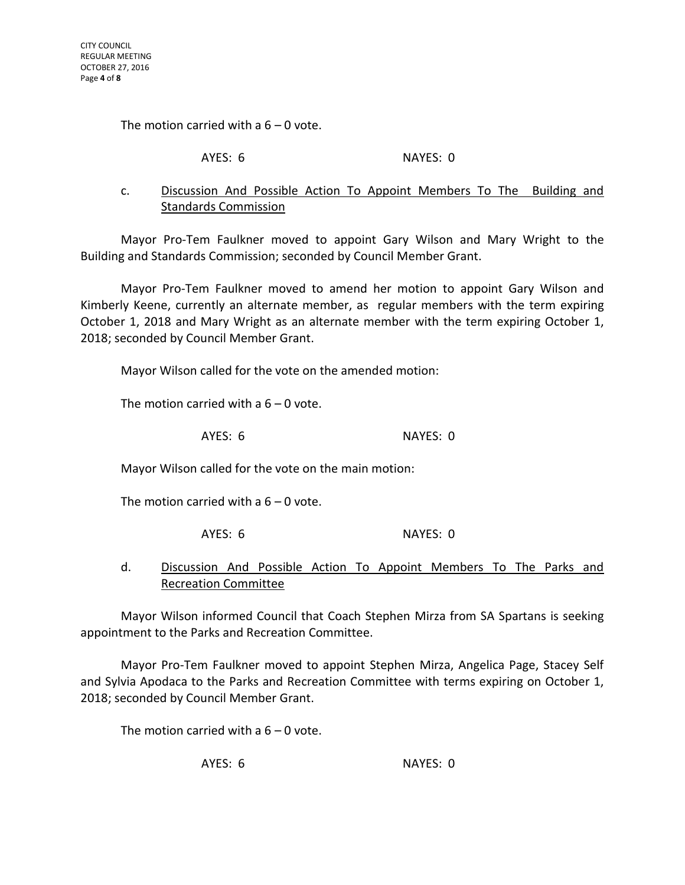The motion carried with a  $6 - 0$  vote.

AYES: 6 NAYES: 0

### c. Discussion And Possible Action To Appoint Members To The Building and Standards Commission

Mayor Pro-Tem Faulkner moved to appoint Gary Wilson and Mary Wright to the Building and Standards Commission; seconded by Council Member Grant.

Mayor Pro-Tem Faulkner moved to amend her motion to appoint Gary Wilson and Kimberly Keene, currently an alternate member, as regular members with the term expiring October 1, 2018 and Mary Wright as an alternate member with the term expiring October 1, 2018; seconded by Council Member Grant.

Mayor Wilson called for the vote on the amended motion:

The motion carried with a  $6 - 0$  vote.

AYES: 6 NAYES: 0

Mayor Wilson called for the vote on the main motion:

The motion carried with a  $6 - 0$  vote.

AYES: 6 NAYES: 0

### d. Discussion And Possible Action To Appoint Members To The Parks and Recreation Committee

Mayor Wilson informed Council that Coach Stephen Mirza from SA Spartans is seeking appointment to the Parks and Recreation Committee.

Mayor Pro-Tem Faulkner moved to appoint Stephen Mirza, Angelica Page, Stacey Self and Sylvia Apodaca to the Parks and Recreation Committee with terms expiring on October 1, 2018; seconded by Council Member Grant.

The motion carried with a  $6 - 0$  vote.

AYES: 6 NAYES: 0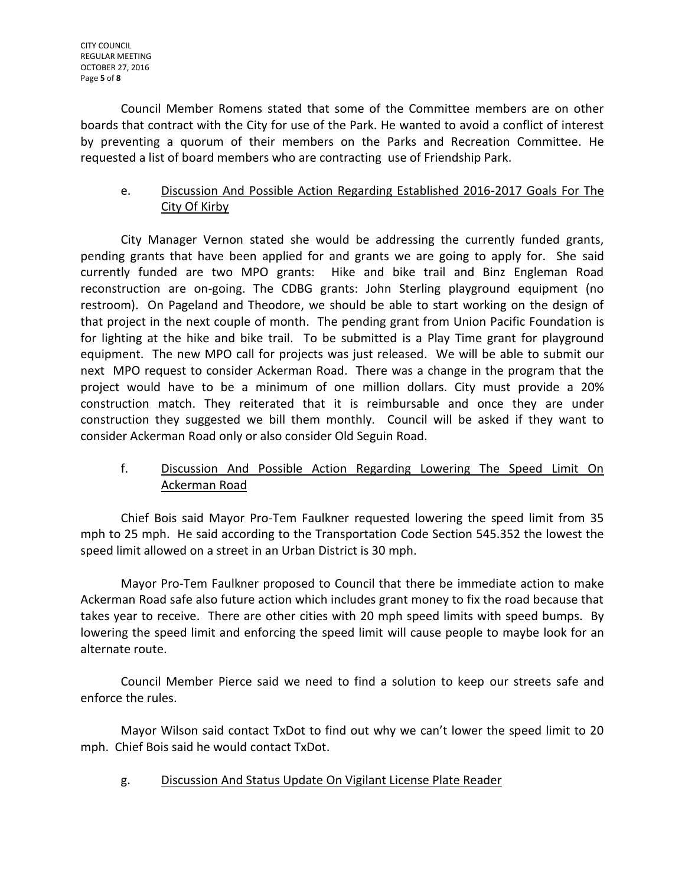Council Member Romens stated that some of the Committee members are on other boards that contract with the City for use of the Park. He wanted to avoid a conflict of interest by preventing a quorum of their members on the Parks and Recreation Committee. He requested a list of board members who are contracting use of Friendship Park.

## e. Discussion And Possible Action Regarding Established 2016-2017 Goals For The City Of Kirby

City Manager Vernon stated she would be addressing the currently funded grants, pending grants that have been applied for and grants we are going to apply for. She said currently funded are two MPO grants: Hike and bike trail and Binz Engleman Road reconstruction are on-going. The CDBG grants: John Sterling playground equipment (no restroom). On Pageland and Theodore, we should be able to start working on the design of that project in the next couple of month. The pending grant from Union Pacific Foundation is for lighting at the hike and bike trail. To be submitted is a Play Time grant for playground equipment. The new MPO call for projects was just released. We will be able to submit our next MPO request to consider Ackerman Road. There was a change in the program that the project would have to be a minimum of one million dollars. City must provide a 20% construction match. They reiterated that it is reimbursable and once they are under construction they suggested we bill them monthly. Council will be asked if they want to consider Ackerman Road only or also consider Old Seguin Road.

# f. Discussion And Possible Action Regarding Lowering The Speed Limit On Ackerman Road

Chief Bois said Mayor Pro-Tem Faulkner requested lowering the speed limit from 35 mph to 25 mph. He said according to the Transportation Code Section 545.352 the lowest the speed limit allowed on a street in an Urban District is 30 mph.

Mayor Pro-Tem Faulkner proposed to Council that there be immediate action to make Ackerman Road safe also future action which includes grant money to fix the road because that takes year to receive. There are other cities with 20 mph speed limits with speed bumps. By lowering the speed limit and enforcing the speed limit will cause people to maybe look for an alternate route.

Council Member Pierce said we need to find a solution to keep our streets safe and enforce the rules.

Mayor Wilson said contact TxDot to find out why we can't lower the speed limit to 20 mph. Chief Bois said he would contact TxDot.

g. Discussion And Status Update On Vigilant License Plate Reader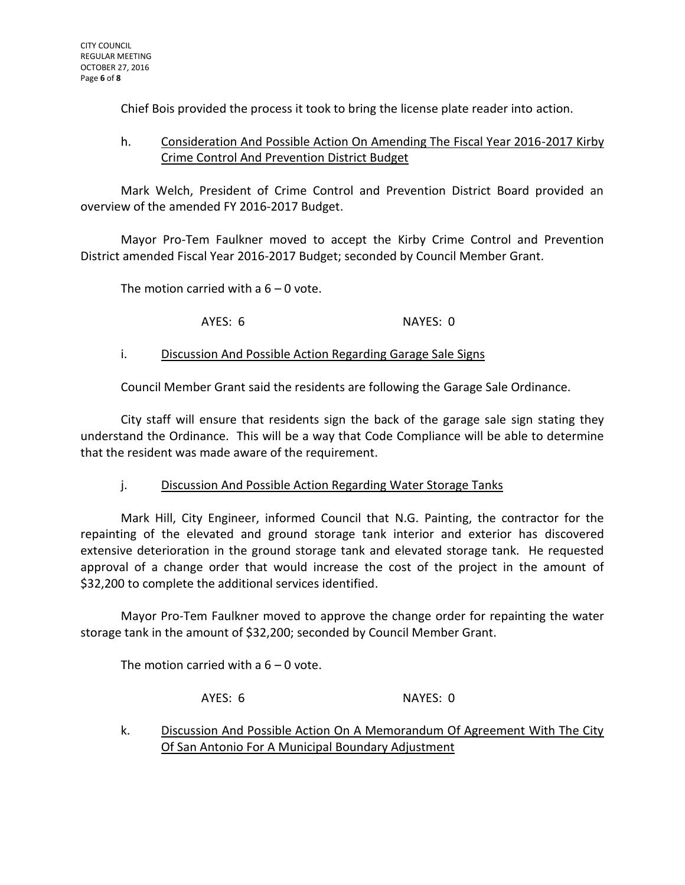Chief Bois provided the process it took to bring the license plate reader into action.

## h. Consideration And Possible Action On Amending The Fiscal Year 2016-2017 Kirby Crime Control And Prevention District Budget

Mark Welch, President of Crime Control and Prevention District Board provided an overview of the amended FY 2016-2017 Budget.

Mayor Pro-Tem Faulkner moved to accept the Kirby Crime Control and Prevention District amended Fiscal Year 2016-2017 Budget; seconded by Council Member Grant.

The motion carried with a  $6 - 0$  vote.

AYES: 6 NAYES: 0

### i. Discussion And Possible Action Regarding Garage Sale Signs

Council Member Grant said the residents are following the Garage Sale Ordinance.

City staff will ensure that residents sign the back of the garage sale sign stating they understand the Ordinance. This will be a way that Code Compliance will be able to determine that the resident was made aware of the requirement.

## j. Discussion And Possible Action Regarding Water Storage Tanks

Mark Hill, City Engineer, informed Council that N.G. Painting, the contractor for the repainting of the elevated and ground storage tank interior and exterior has discovered extensive deterioration in the ground storage tank and elevated storage tank. He requested approval of a change order that would increase the cost of the project in the amount of \$32,200 to complete the additional services identified.

Mayor Pro-Tem Faulkner moved to approve the change order for repainting the water storage tank in the amount of \$32,200; seconded by Council Member Grant.

The motion carried with a  $6 - 0$  vote.

AYES: 6 NAYES: 0

k. Discussion And Possible Action On A Memorandum Of Agreement With The City Of San Antonio For A Municipal Boundary Adjustment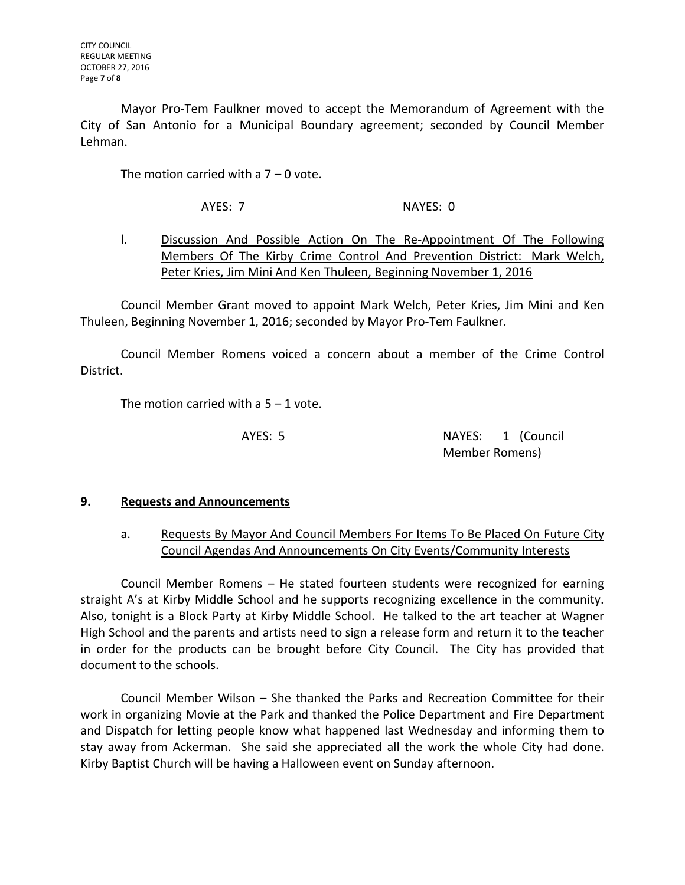Mayor Pro-Tem Faulkner moved to accept the Memorandum of Agreement with the City of San Antonio for a Municipal Boundary agreement; seconded by Council Member Lehman.

The motion carried with a  $7 - 0$  vote.

AYES: 7 NAYES: 0

# l. Discussion And Possible Action On The Re-Appointment Of The Following Members Of The Kirby Crime Control And Prevention District: Mark Welch, Peter Kries, Jim Mini And Ken Thuleen, Beginning November 1, 2016

Council Member Grant moved to appoint Mark Welch, Peter Kries, Jim Mini and Ken Thuleen, Beginning November 1, 2016; seconded by Mayor Pro-Tem Faulkner.

Council Member Romens voiced a concern about a member of the Crime Control District.

The motion carried with a  $5 - 1$  vote.

AYES: 5 NAYES: 1 (Council Member Romens)

## **9. Requests and Announcements**

## a. Requests By Mayor And Council Members For Items To Be Placed On Future City Council Agendas And Announcements On City Events/Community Interests

Council Member Romens – He stated fourteen students were recognized for earning straight A's at Kirby Middle School and he supports recognizing excellence in the community. Also, tonight is a Block Party at Kirby Middle School. He talked to the art teacher at Wagner High School and the parents and artists need to sign a release form and return it to the teacher in order for the products can be brought before City Council. The City has provided that document to the schools.

Council Member Wilson – She thanked the Parks and Recreation Committee for their work in organizing Movie at the Park and thanked the Police Department and Fire Department and Dispatch for letting people know what happened last Wednesday and informing them to stay away from Ackerman. She said she appreciated all the work the whole City had done. Kirby Baptist Church will be having a Halloween event on Sunday afternoon.